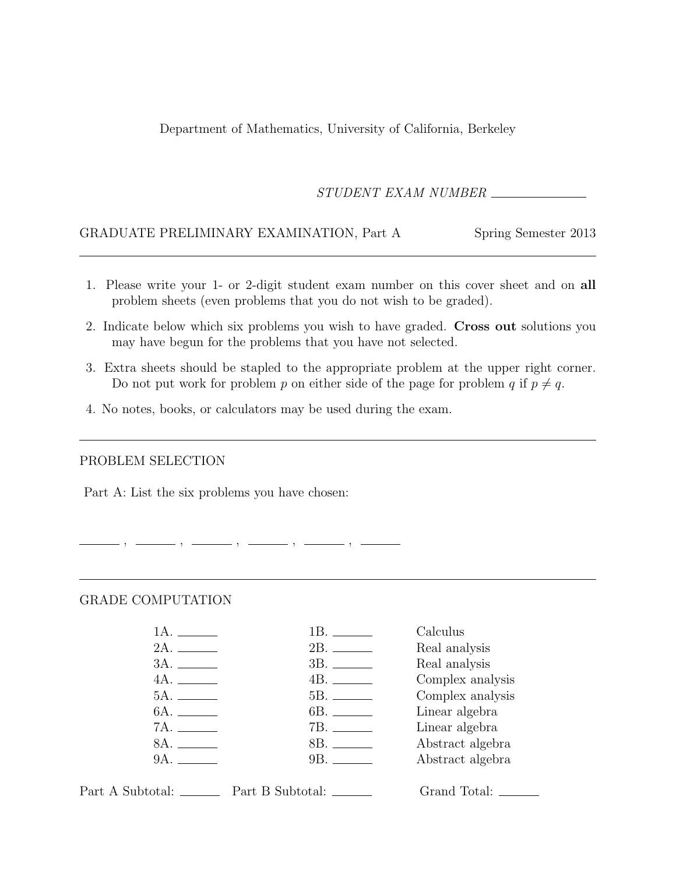Department of Mathematics, University of California, Berkeley

STUDENT EXAM NUMBER

### GRADUATE PRELIMINARY EXAMINATION, Part A Spring Semester 2013

- 1. Please write your 1- or 2-digit student exam number on this cover sheet and on all problem sheets (even problems that you do not wish to be graded).
- 2. Indicate below which six problems you wish to have graded. Cross out solutions you may have begun for the problems that you have not selected.
- 3. Extra sheets should be stapled to the appropriate problem at the upper right corner. Do not put work for problem p on either side of the page for problem q if  $p \neq q$ .
- 4. No notes, books, or calculators may be used during the exam.

 $-$  ,  $-$  ,  $-$ 

#### PROBLEM SELECTION

Part A: List the six problems you have chosen:

#### GRADE COMPUTATION

|              | Calculus         |
|--------------|------------------|
|              | Real analysis    |
|              | Real analysis    |
| 4A.          | Complex analysis |
|              | Complex analysis |
| 6A. ________ | Linear algebra   |
|              | Linear algebra   |
| 8A.          | Abstract algebra |
| 9A.          | Abstract algebra |
|              |                  |

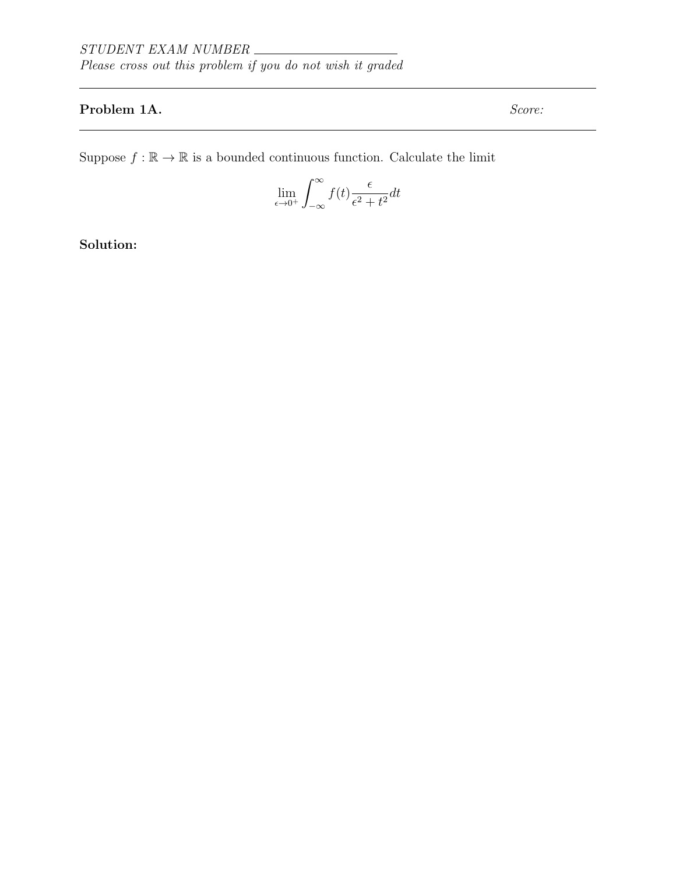# Problem 1A. Score:

Suppose  $f : \mathbb{R} \to \mathbb{R}$  is a bounded continuous function. Calculate the limit

$$
\lim_{\epsilon \to 0^+} \int_{-\infty}^{\infty} f(t) \frac{\epsilon}{\epsilon^2 + t^2} dt
$$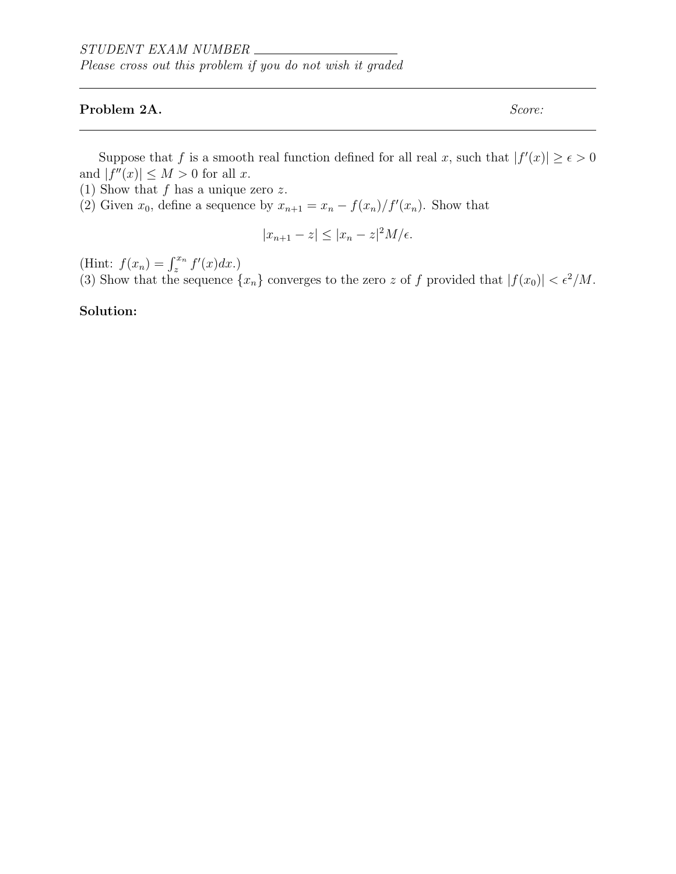#### Problem 2A. Score:

Suppose that f is a smooth real function defined for all real x, such that  $|f'(x)| \ge \epsilon > 0$ and  $|f''(x)| \leq M > 0$  for all x.

- (1) Show that  $f$  has a unique zero  $z$ .
- (2) Given  $x_0$ , define a sequence by  $x_{n+1} = x_n \frac{f(x_n)}{f'(x_n)}$ . Show that

$$
|x_{n+1} - z| \le |x_n - z|^2 M / \epsilon.
$$

(Hint:  $f(x_n) = \int_{z}^{x_n} f'(x) dx$ .)

(3) Show that the sequence  $\{x_n\}$  converges to the zero z of f provided that  $|f(x_0)| < \epsilon^2/M$ .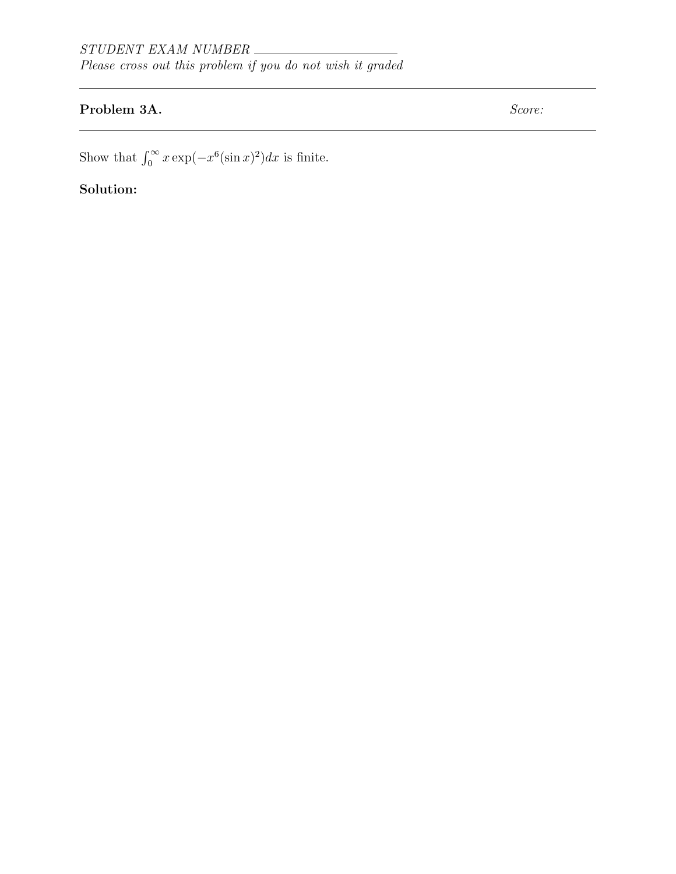# Problem 3A. Score:

Show that  $\int_0^\infty x \exp(-x^6(\sin x)^2) dx$  is finite.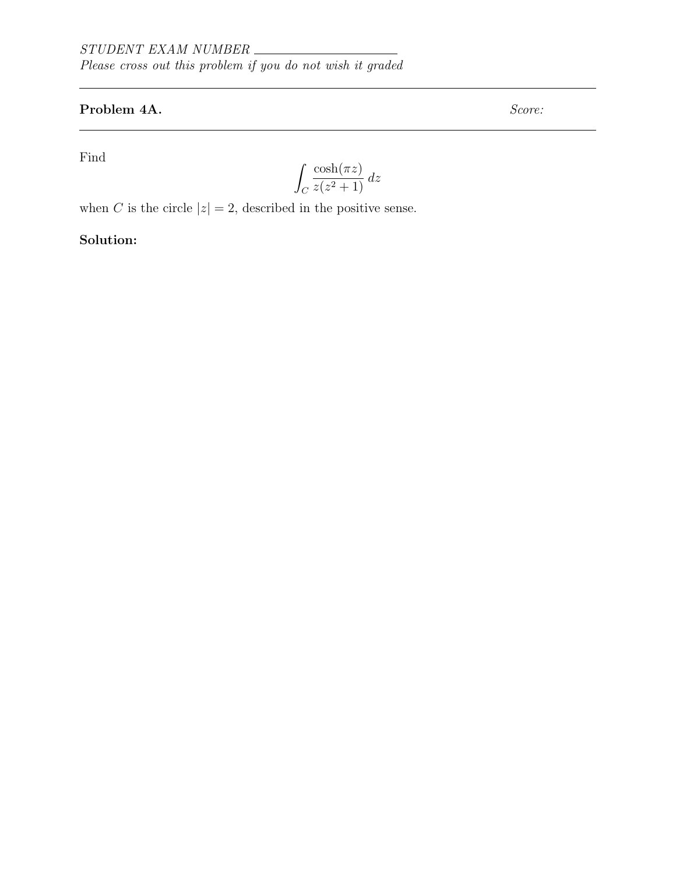# Problem 4A. Score:

Find

$$
\int_C \frac{\cosh(\pi z)}{z(z^2+1)}\,dz
$$

when C is the circle  $|z| = 2$ , described in the positive sense.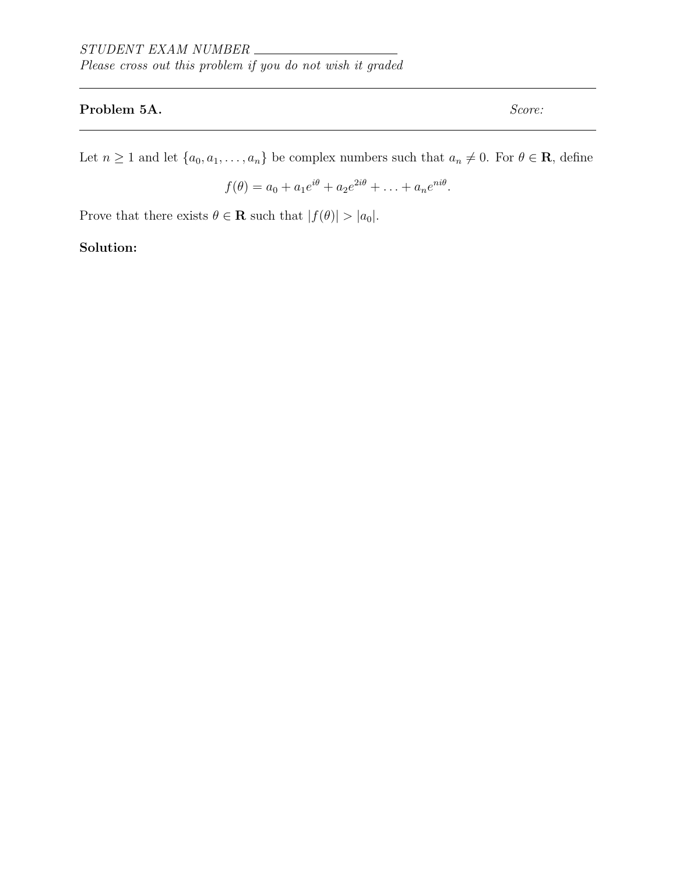## Problem 5A. Score:

Let  $n \geq 1$  and let  $\{a_0, a_1, \ldots, a_n\}$  be complex numbers such that  $a_n \neq 0$ . For  $\theta \in \mathbf{R}$ , define

$$
f(\theta) = a_0 + a_1 e^{i\theta} + a_2 e^{2i\theta} + \ldots + a_n e^{ni\theta}.
$$

Prove that there exists  $\theta \in \mathbf{R}$  such that  $|f(\theta)| > |a_0|$ .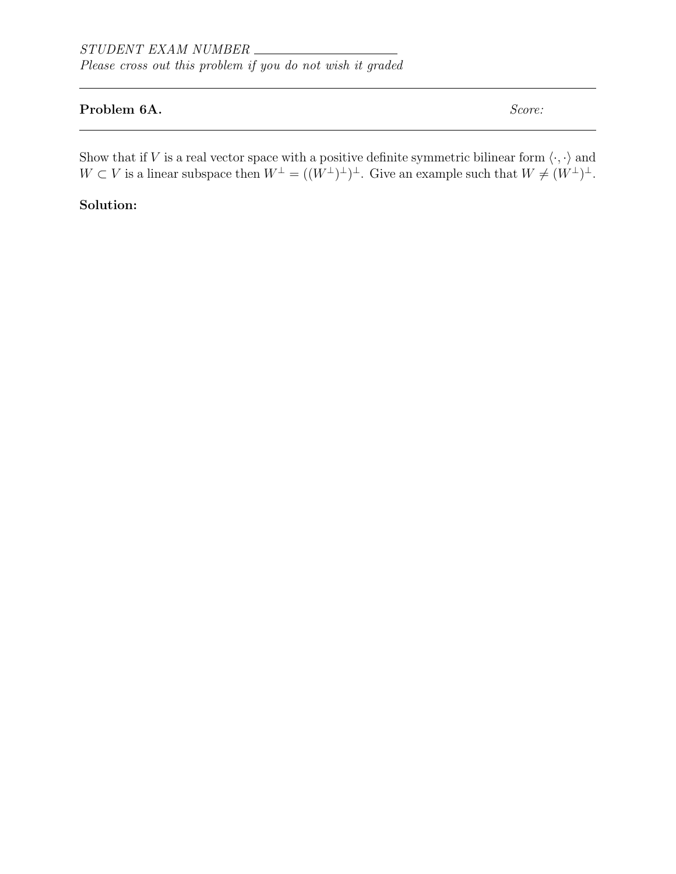## Problem 6A. Score:

Show that if V is a real vector space with a positive definite symmetric bilinear form  $\langle \cdot, \cdot \rangle$  and  $W \subset V$  is a linear subspace then  $W^{\perp} = ((W^{\perp})^{\perp})^{\perp}$ . Give an example such that  $W \neq (W^{\perp})^{\perp}$ .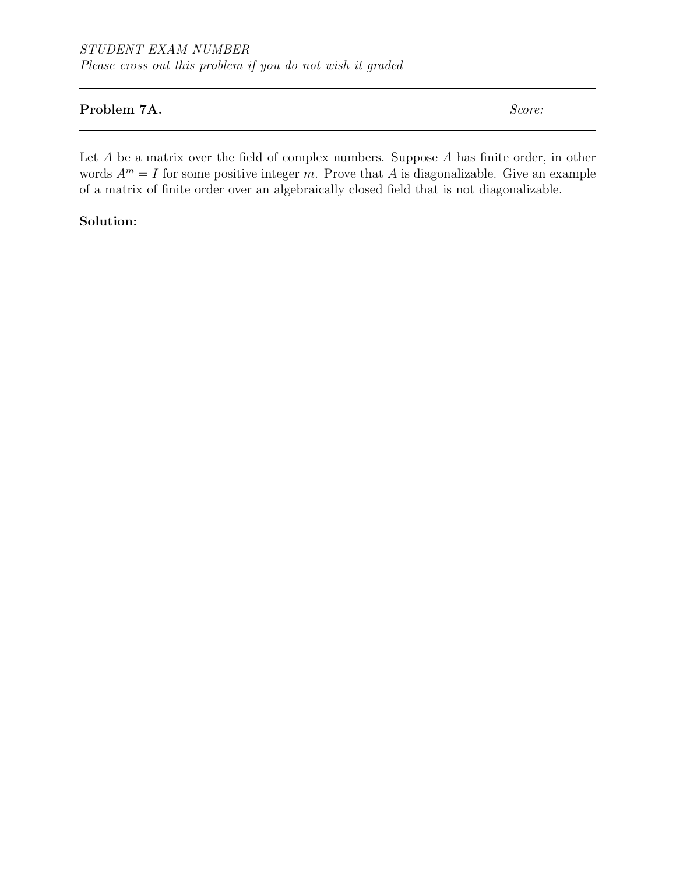## Problem 7A. Score:

Let  $A$  be a matrix over the field of complex numbers. Suppose  $A$  has finite order, in other words  $A^m = I$  for some positive integer m. Prove that A is diagonalizable. Give an example of a matrix of finite order over an algebraically closed field that is not diagonalizable.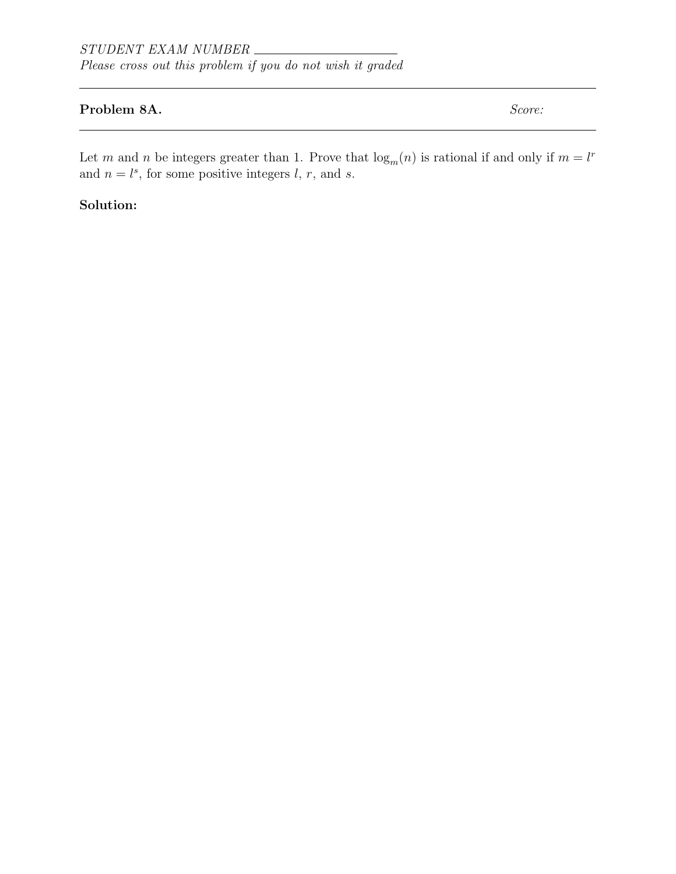## Problem 8A. Score:

Let m and n be integers greater than 1. Prove that  $\log_m(n)$  is rational if and only if  $m = l^r$ and  $n = l^s$ , for some positive integers l, r, and s.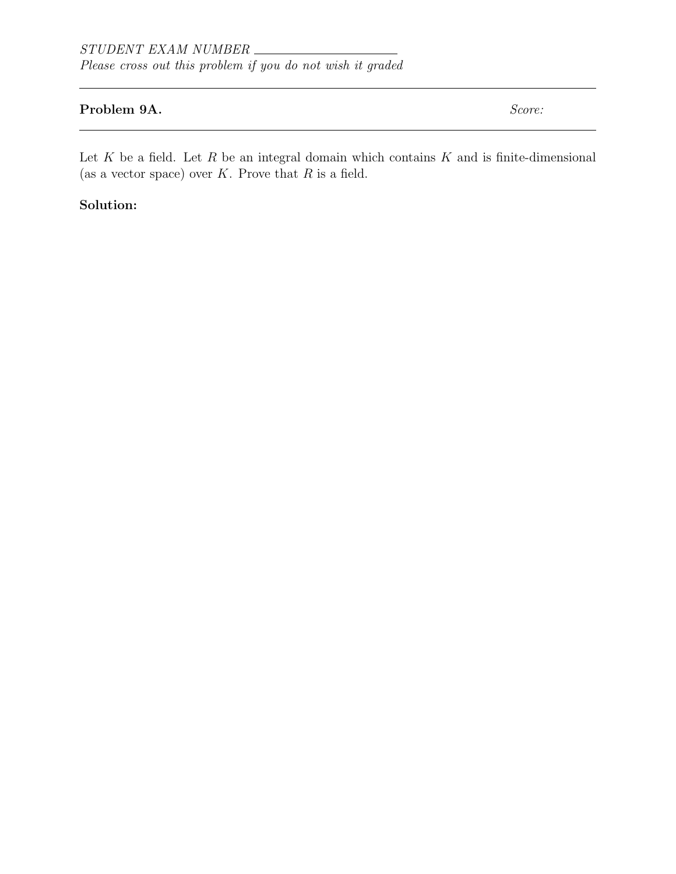## Problem 9A. Score:

Let  $K$  be a field. Let  $R$  be an integral domain which contains  $K$  and is finite-dimensional (as a vector space) over  $K$ . Prove that  $R$  is a field.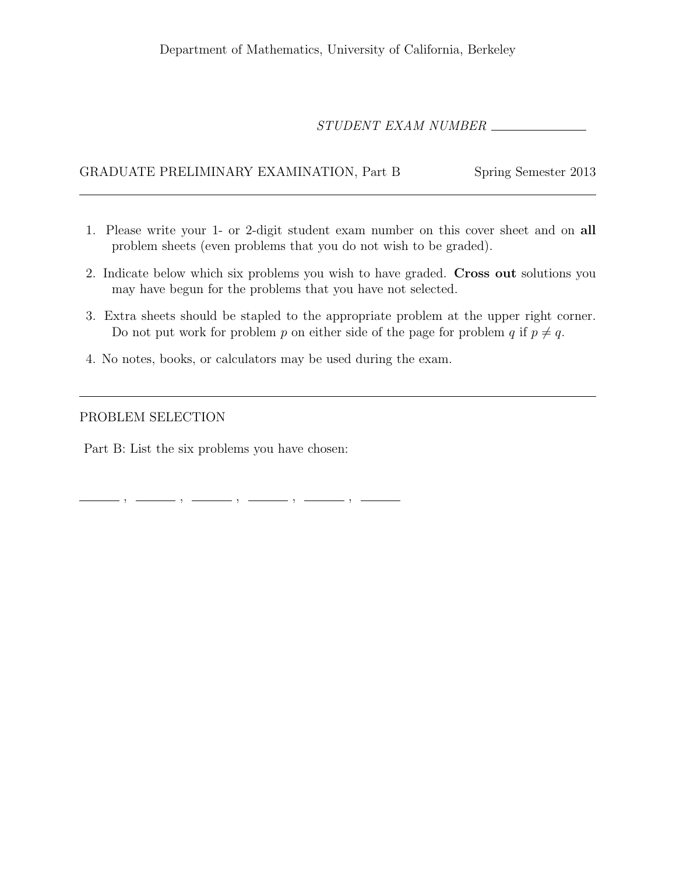## STUDENT EXAM NUMBER

## GRADUATE PRELIMINARY EXAMINATION, Part B Spring Semester 2013

- 1. Please write your 1- or 2-digit student exam number on this cover sheet and on all problem sheets (even problems that you do not wish to be graded).
- 2. Indicate below which six problems you wish to have graded. Cross out solutions you may have begun for the problems that you have not selected.
- 3. Extra sheets should be stapled to the appropriate problem at the upper right corner. Do not put work for problem p on either side of the page for problem q if  $p \neq q$ .
- 4. No notes, books, or calculators may be used during the exam.

, , , , ,

#### PROBLEM SELECTION

Part B: List the six problems you have chosen: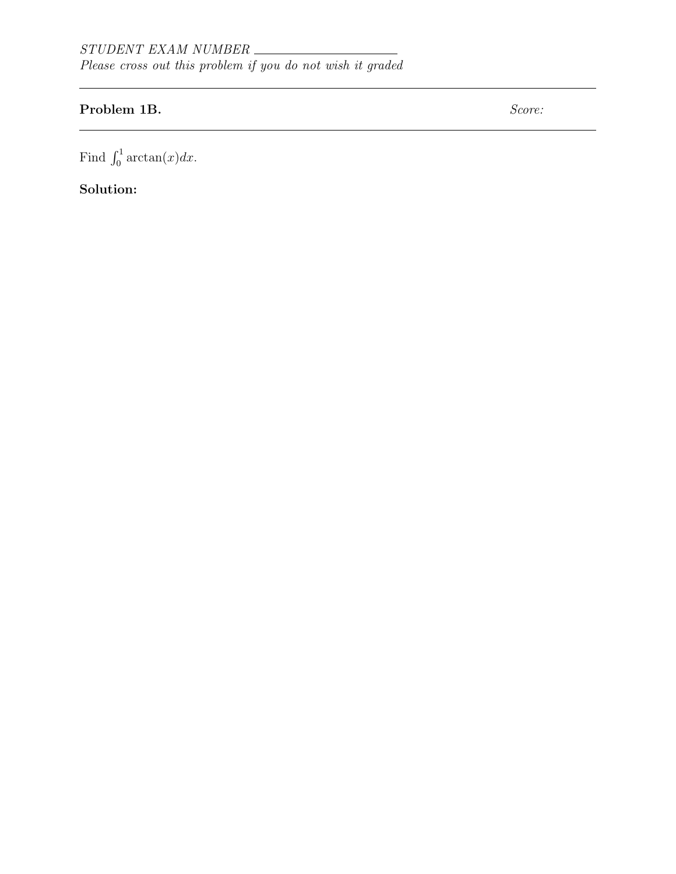# Problem 1B. Score:

Find  $\int_0^1 \arctan(x) dx$ .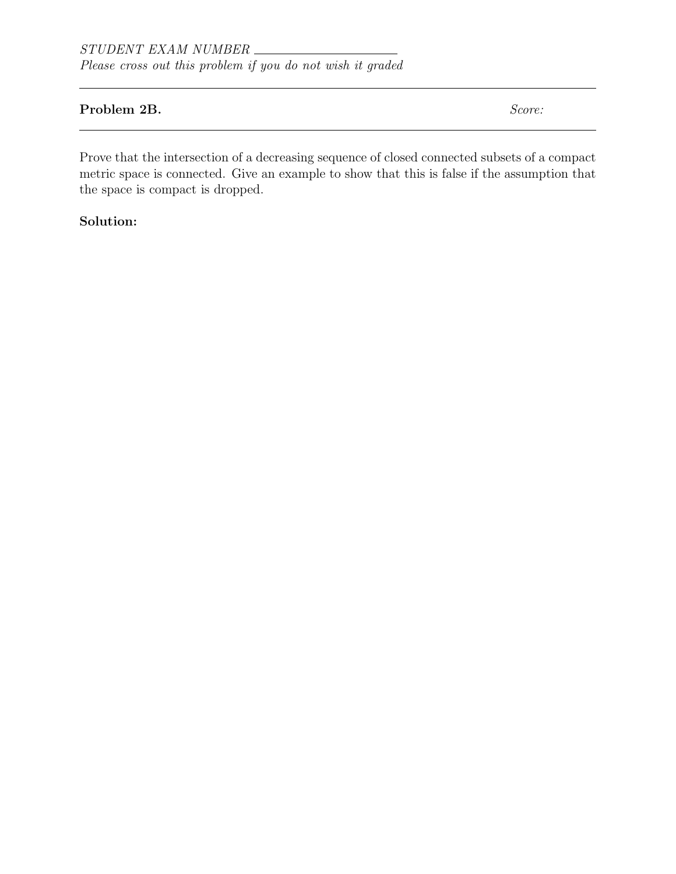### Problem 2B. Score:

Prove that the intersection of a decreasing sequence of closed connected subsets of a compact metric space is connected. Give an example to show that this is false if the assumption that the space is compact is dropped.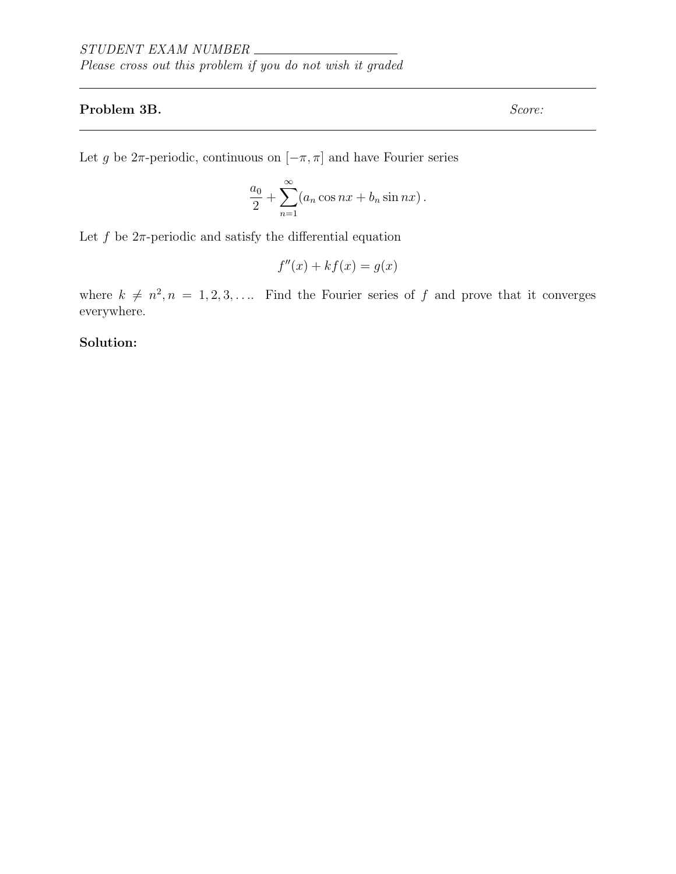## Problem 3B. Score:

Let g be  $2\pi$ -periodic, continuous on  $[-\pi, \pi]$  and have Fourier series

$$
\frac{a_0}{2} + \sum_{n=1}^{\infty} (a_n \cos nx + b_n \sin nx).
$$

Let f be  $2\pi$ -periodic and satisfy the differential equation

$$
f''(x) + kf(x) = g(x)
$$

where  $k \neq n^2, n = 1, 2, 3, \ldots$  Find the Fourier series of f and prove that it converges everywhere.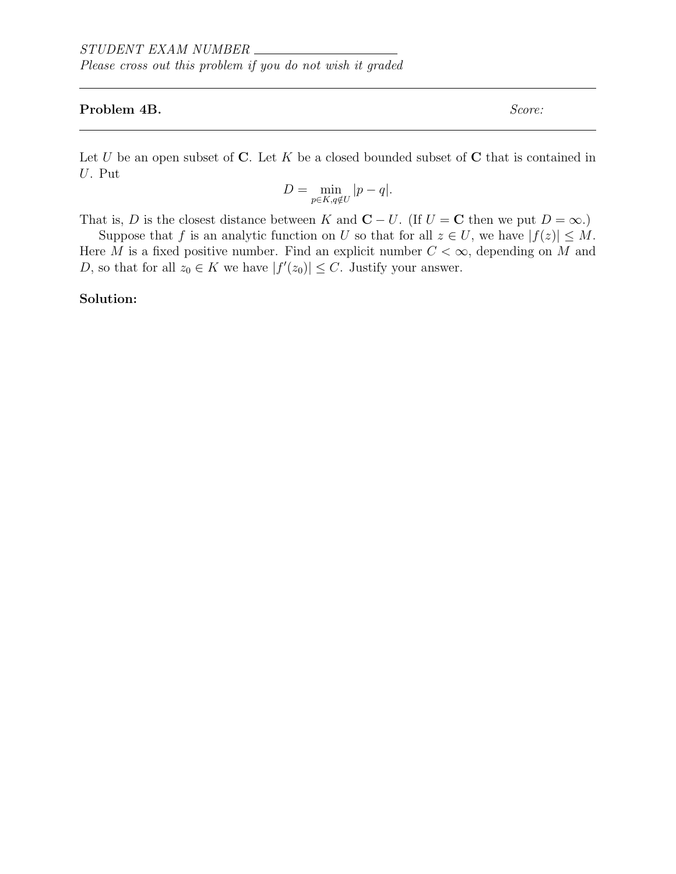#### Problem 4B. Score:

Let U be an open subset of C. Let K be a closed bounded subset of C that is contained in U. Put

$$
D = \min_{p \in K, q \notin U} |p - q|.
$$

That is, D is the closest distance between K and  $C - U$ . (If  $U = C$  then we put  $D = \infty$ .)

Suppose that f is an analytic function on U so that for all  $z \in U$ , we have  $|f(z)| \leq M$ . Here M is a fixed positive number. Find an explicit number  $C < \infty$ , depending on M and D, so that for all  $z_0 \in K$  we have  $|f'(z_0)| \leq C$ . Justify your answer.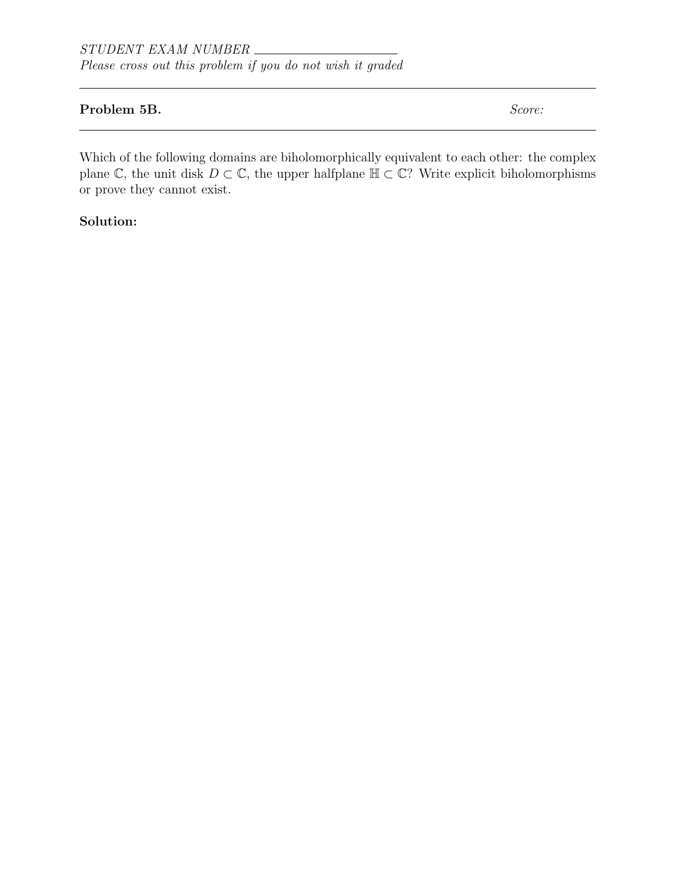## Problem 5B. Score:

Which of the following domains are biholomorphically equivalent to each other: the complex plane  $\mathbb{C}$ , the unit disk  $D \subset \mathbb{C}$ , the upper halfplane  $\mathbb{H} \subset \mathbb{C}$ ? Write explicit biholomorphisms or prove they cannot exist.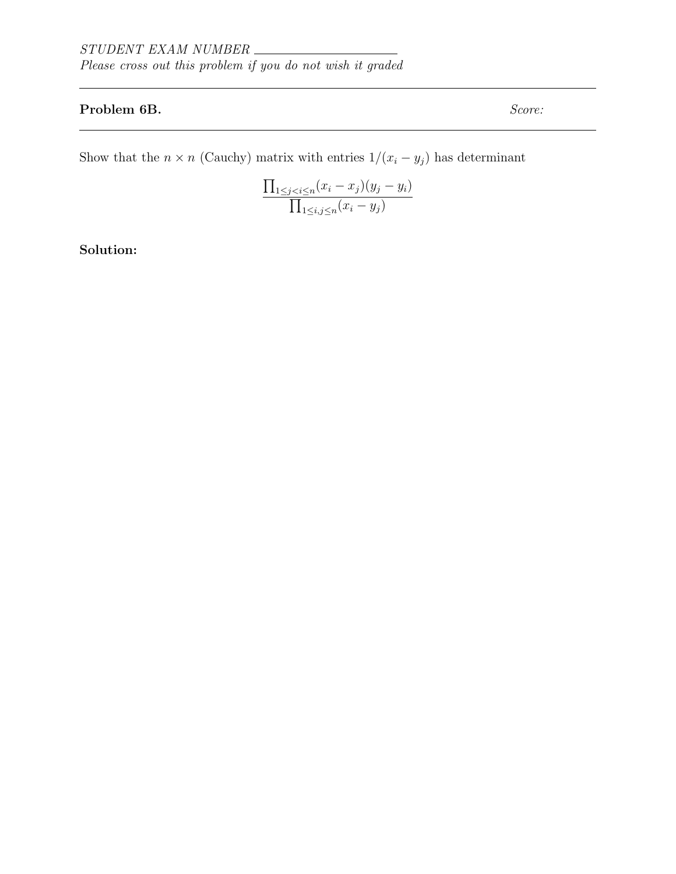## Problem 6B. Score:

Show that the  $n \times n$  (Cauchy) matrix with entries  $1/(x_i - y_j)$  has determinant

$$
\frac{\prod_{1 \leq j < i \leq n} (x_i - x_j)(y_j - y_i)}{\prod_{1 \leq i, j \leq n} (x_i - y_j)}
$$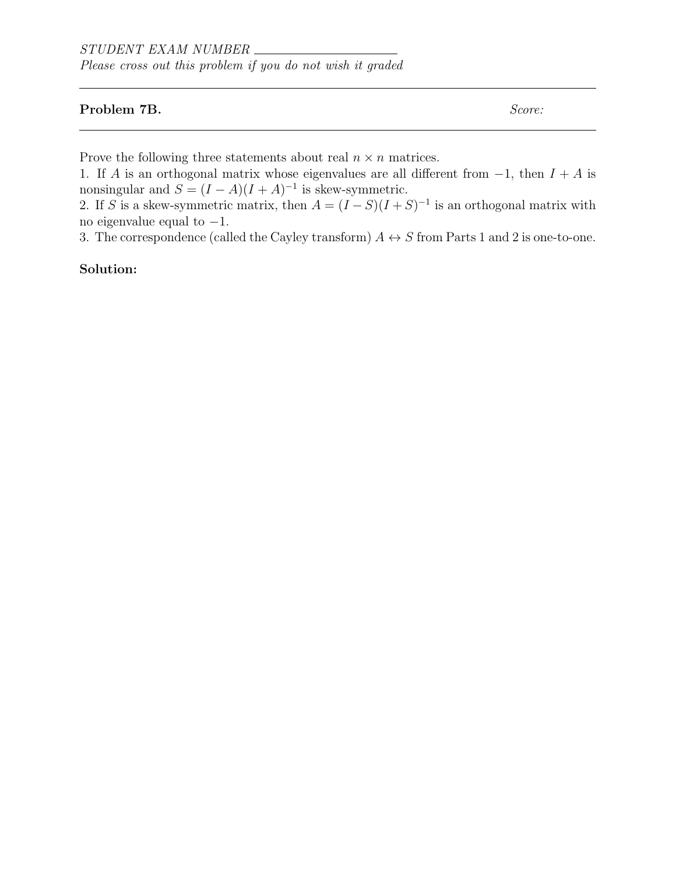## Problem 7B. Score:

Prove the following three statements about real  $n \times n$  matrices.

1. If A is an orthogonal matrix whose eigenvalues are all different from  $-1$ , then  $I + A$  is nonsingular and  $S = (I - A)(I + A)^{-1}$  is skew-symmetric.

2. If S is a skew-symmetric matrix, then  $A = (I - S)(I + S)^{-1}$  is an orthogonal matrix with no eigenvalue equal to  $-1$ .

3. The correspondence (called the Cayley transform)  $A \leftrightarrow S$  from Parts 1 and 2 is one-to-one.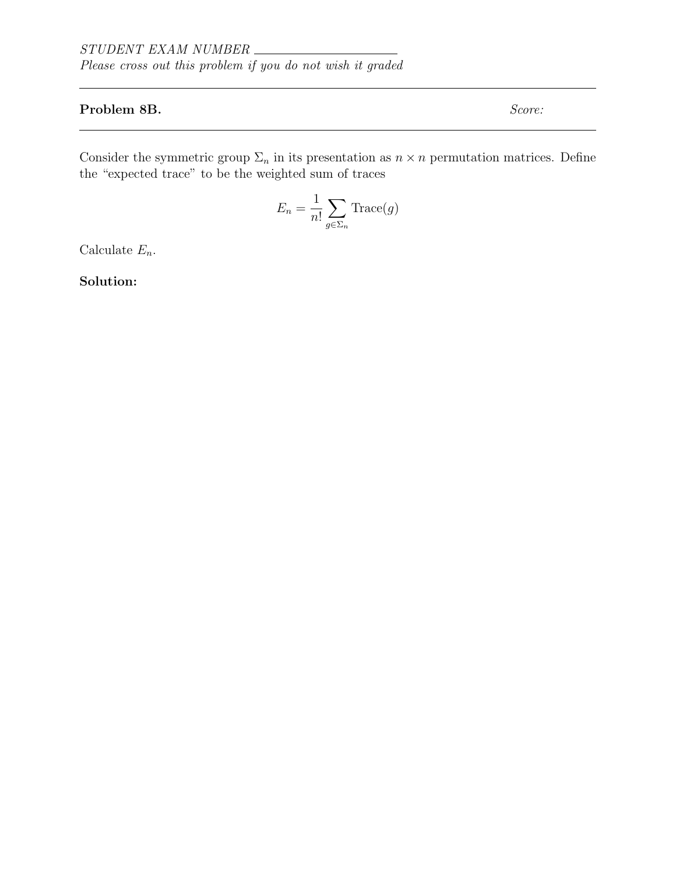## Problem 8B. Score:

Consider the symmetric group  $\Sigma_n$  in its presentation as  $n \times n$  permutation matrices. Define the "expected trace" to be the weighted sum of traces

$$
E_n = \frac{1}{n!} \sum_{g \in \Sigma_n} \text{Trace}(g)
$$

Calculate  $E_n$ .